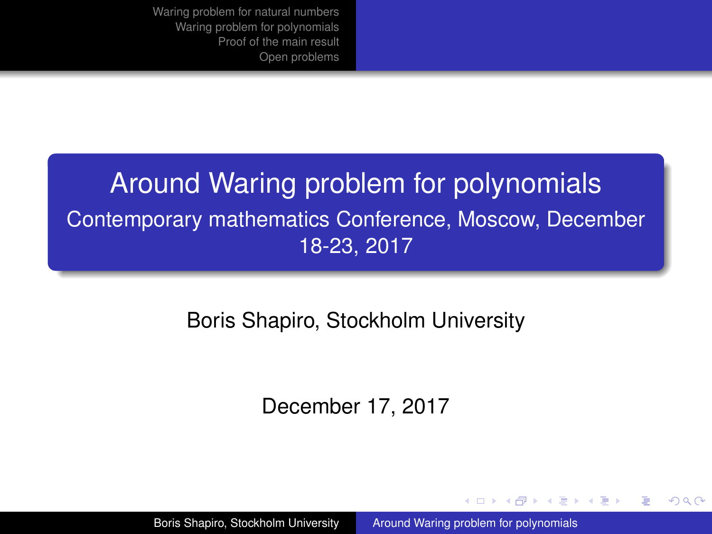## <span id="page-0-0"></span>Around Waring problem for polynomials Contemporary mathematics Conference, Moscow, December 18-23, 2017

## Boris Shapiro, Stockholm University

### December 17, 2017

イロメ イ押メ イヨメ イヨメー

B

 $QQQ$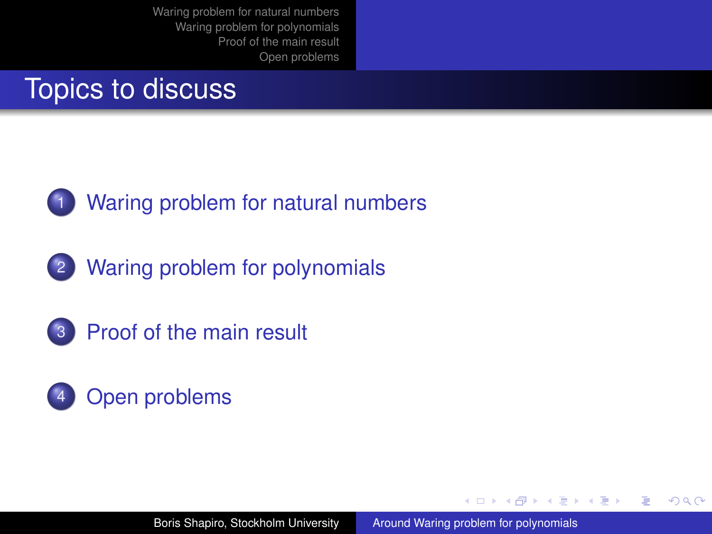# Topics to discuss



[Waring problem for natural numbers](#page-3-0)

2 [Waring problem for polynomials](#page-6-0)





イロト イ団ト イヨト イヨト

÷.  $QQQ$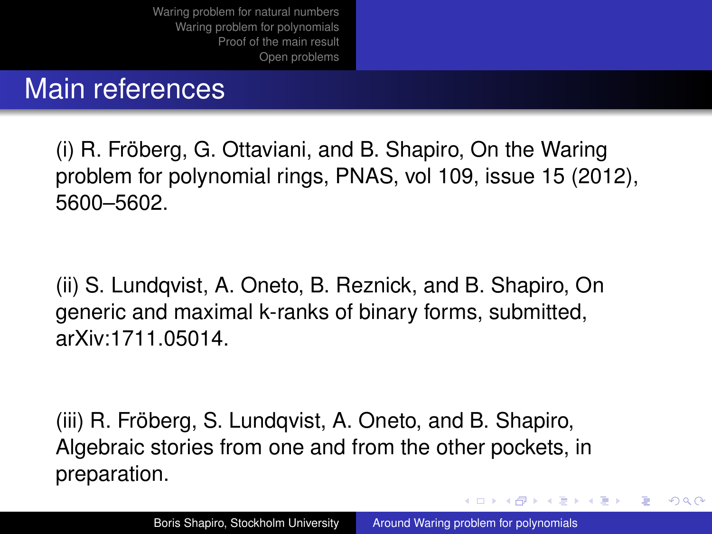## Main references

(i) R. Fröberg, G. Ottaviani, and B. Shapiro, On the Waring problem for polynomial rings, PNAS, vol 109, issue 15 (2012), 5600–5602.

(ii) S. Lundqvist, A. Oneto, B. Reznick, and B. Shapiro, On generic and maximal k-ranks of binary forms, submitted, arXiv:1711.05014.

(iii) R. Fröberg, S. Lundqvist, A. Oneto, and B. Shapiro, Algebraic stories from one and from the other pockets, in preparation.

イロメ イ押 メイヨメ イヨメ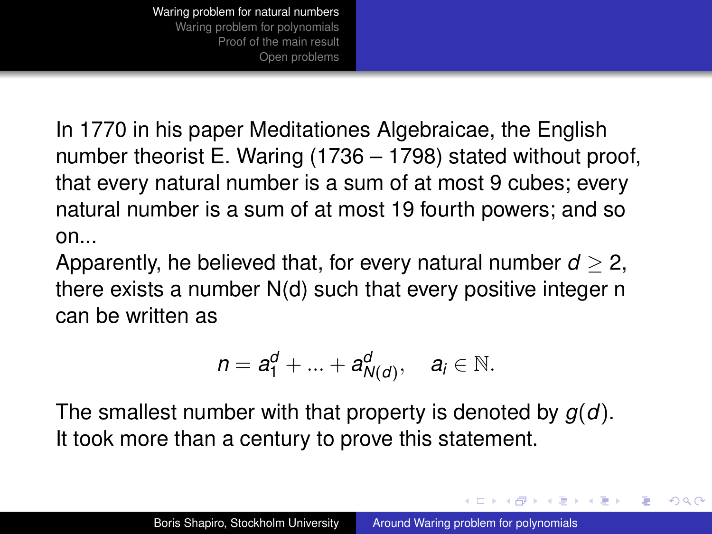<span id="page-3-0"></span>In 1770 in his paper Meditationes Algebraicae, the English number theorist E. Waring (1736 – 1798) stated without proof, that every natural number is a sum of at most 9 cubes; every natural number is a sum of at most 19 fourth powers; and so on...

Apparently, he believed that, for every natural number  $d > 2$ , there exists a number N(d) such that every positive integer n can be written as

$$
n=a_1^d+\ldots+a_{N(d)}^d, \quad a_i\in\mathbb{N}.
$$

The smallest number with that property is denoted by *g*(*d*). It took more than a century to prove this statement.

イロメ イ押 メイヨメ イヨメ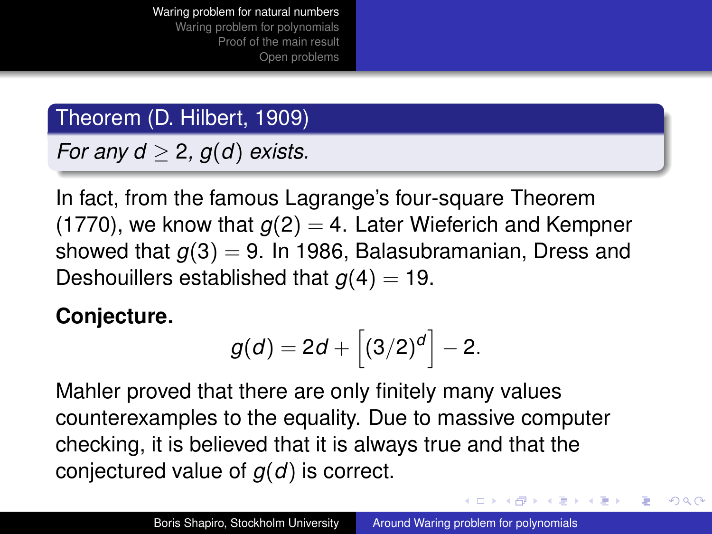## Theorem (D. Hilbert, 1909)

*For any d*  $> 2$ ,  $q(d)$  *exists.* 

In fact, from the famous Lagrange's four-square Theorem (1770), we know that  $g(2) = 4$ . Later Wieferich and Kempner showed that  $g(3) = 9$ . In 1986, Balasubramanian, Dress and Deshouillers established that  $g(4) = 19$ .

## **Conjecture.**

$$
g(d)=2d+\left[(3/2)^d\right]-2.
$$

Mahler proved that there are only finitely many values counterexamples to the equality. Due to massive computer checking, it is believed that it is always true and that the conjectured value of *g*(*d*) is correct.

4 ロ ) (何 ) (日 ) (日 )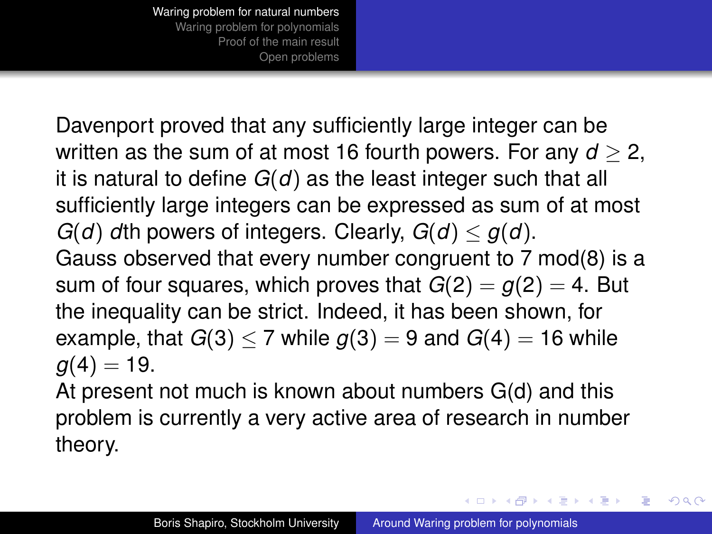<span id="page-5-0"></span>Davenport proved that any sufficiently large integer can be written as the sum of at most 16 fourth powers. For any  $d > 2$ , it is natural to define *G*(*d*) as the least integer such that all sufficiently large integers can be expressed as sum of at most *G*(*d*) *d*th powers of integers. Clearly,  $G(d) \leq g(d)$ . Gauss observed that every number congruent to 7 mod(8) is a sum of four squares, which proves that  $G(2) = g(2) = 4$ . But the inequality can be strict. Indeed, it has been shown, for example, that  $G(3) < 7$  while  $g(3) = 9$  and  $G(4) = 16$  while  $q(4) = 19$ .

At present not much is known about numbers G(d) and this problem is currently a very active area of research in number theory.

 $2990$ 

イロメ イ押 メイヨメ イヨメ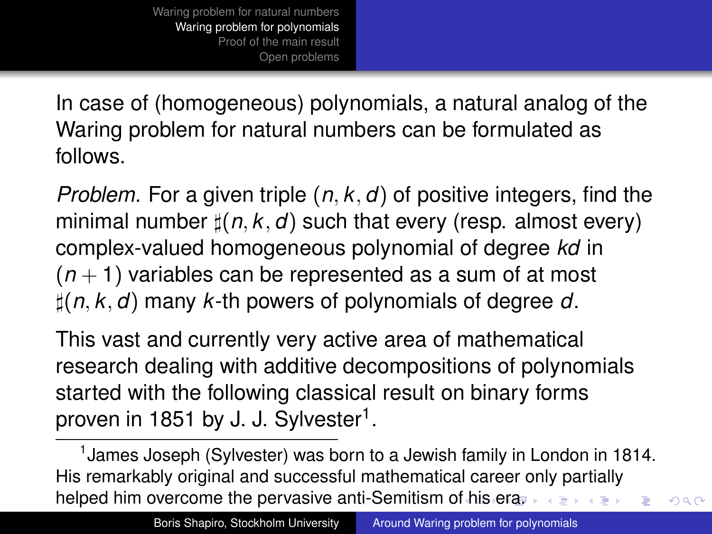<span id="page-6-0"></span>In case of (homogeneous) polynomials, a natural analog of the Waring problem for natural numbers can be formulated as follows.

*Problem.* For a given triple (*n*, *k*, *d*) of positive integers, find the minimal number  $\sharp(n, k, d)$  such that every (resp. almost every) complex-valued homogeneous polynomial of degree *kd* in  $(n + 1)$  variables can be represented as a sum of at most ](*n*, *k*, *d*) many *k*-th powers of polynomials of degree *d*.

This vast and currently very active area of mathematical research dealing with additive decompositions of polynomials started with the following classical result on binary forms proven in 1851 by J. J. Sylvester<sup>1</sup>.

<sup>1</sup> James Joseph (Sylvester) was born to a Jewish family in London in 1814. His remarkably original and successful mathematical career only partially helped him overcome the pervasive anti-Semitism o[f h](#page-5-0)i[s e](#page-7-0)[r](#page-5-0)[a.](#page-6-0)

 $290$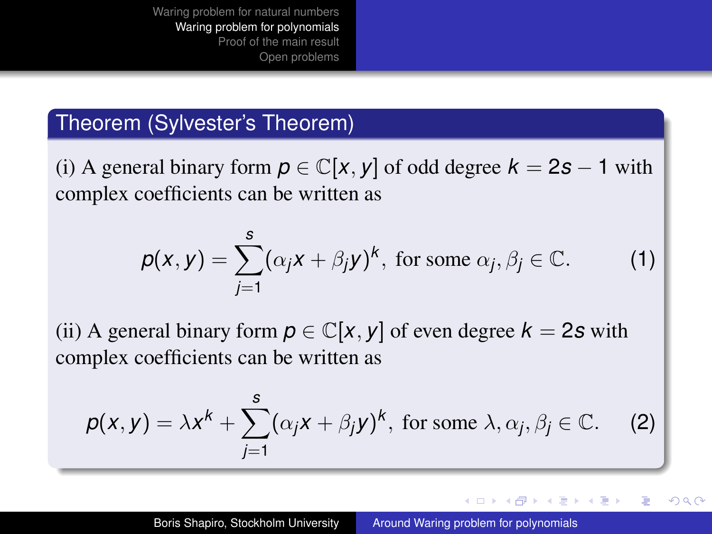### <span id="page-7-0"></span>Theorem (Sylvester's Theorem)

(i) A general binary form  $p \in \mathbb{C}[x, y]$  of odd degree  $k = 2s - 1$  with complex coefficients can be written as

$$
p(x, y) = \sum_{j=1}^{s} (\alpha_j x + \beta_j y)^k, \text{ for some } \alpha_j, \beta_j \in \mathbb{C}.
$$
 (1)

(ii) A general binary form  $p \in \mathbb{C}[x, y]$  of even degree  $k = 2s$  with complex coefficients can be written as

$$
p(x, y) = \lambda x^{k} + \sum_{j=1}^{s} (\alpha_{j}x + \beta_{j}y)^{k}, \text{ for some } \lambda, \alpha_{j}, \beta_{j} \in \mathbb{C}. \tag{2}
$$

イロメ イ押 メイヨメ イヨメ

ă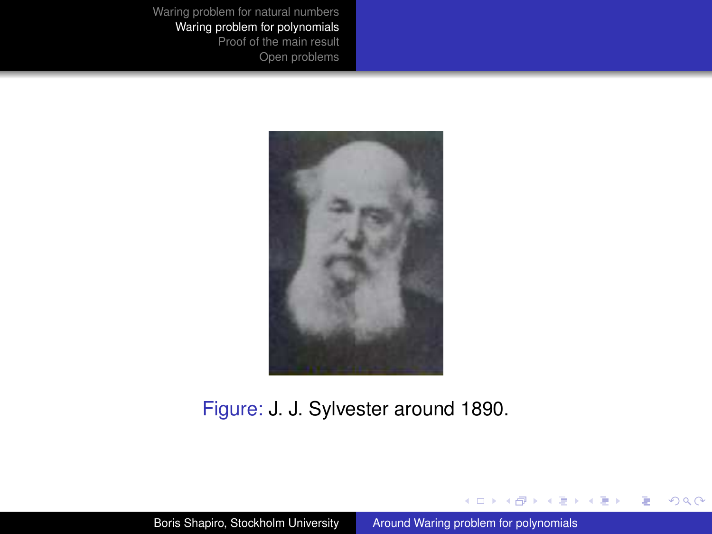

#### Figure: J. J. Sylvester around 1890.

イロメイ部メイ君メイ君メー

÷.

 $299$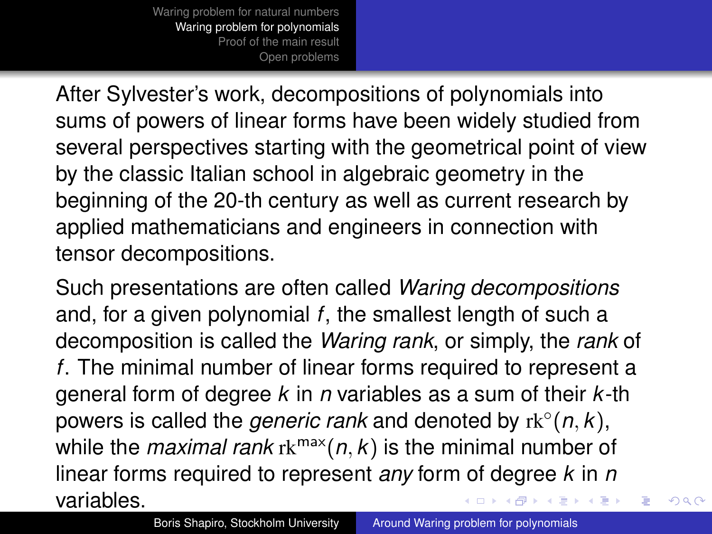After Sylvester's work, decompositions of polynomials into sums of powers of linear forms have been widely studied from several perspectives starting with the geometrical point of view by the classic Italian school in algebraic geometry in the beginning of the 20-th century as well as current research by applied mathematicians and engineers in connection with tensor decompositions.

Such presentations are often called *Waring decompositions* and, for a given polynomial *f*, the smallest length of such a decomposition is called the *Waring rank*, or simply, the *rank* of *f*. The minimal number of linear forms required to represent a general form of degree *k* in *n* variables as a sum of their *k*-th powers is called the *generic rank* and denoted by rk<sup>◦</sup>(n, k), while the *maximal rank*  $rk^{max}(n, k)$  is the minimal number of linear forms required to represent *any* form of degree *k* in *n* variables.  $A\cong \mathbb{R} \rightarrow A \cong \mathbb{R}$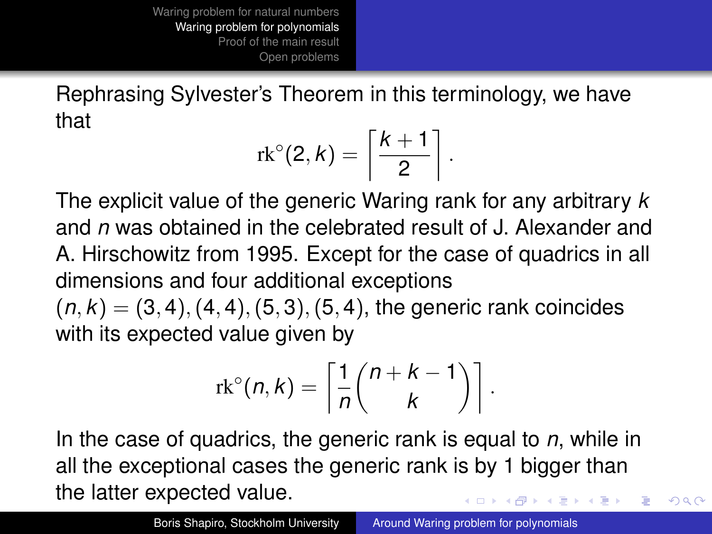Rephrasing Sylvester's Theorem in this terminology, we have that

$$
\mathrm{rk}^{\circ}(2,k)=\left\lceil\frac{k+1}{2}\right\rceil
$$

.

 $2Q$ 

The explicit value of the generic Waring rank for any arbitrary *k* and *n* was obtained in the celebrated result of J. Alexander and A. Hirschowitz from 1995. Except for the case of quadrics in all dimensions and four additional exceptions

 $(n, k) = (3, 4), (4, 4), (5, 3), (5, 4),$  the generic rank coincides with its expected value given by

$$
\mathrm{rk}^{\circ}(n,k)=\left\lceil \frac{1}{n} \binom{n+k-1}{k} \right\rceil.
$$

In the case of quadrics, the generic rank is equal to *n*, while in all the exceptional cases the generic rank is by 1 bigger than the latter expected value.  $\leftarrow$   $\leftarrow$   $\rightarrow$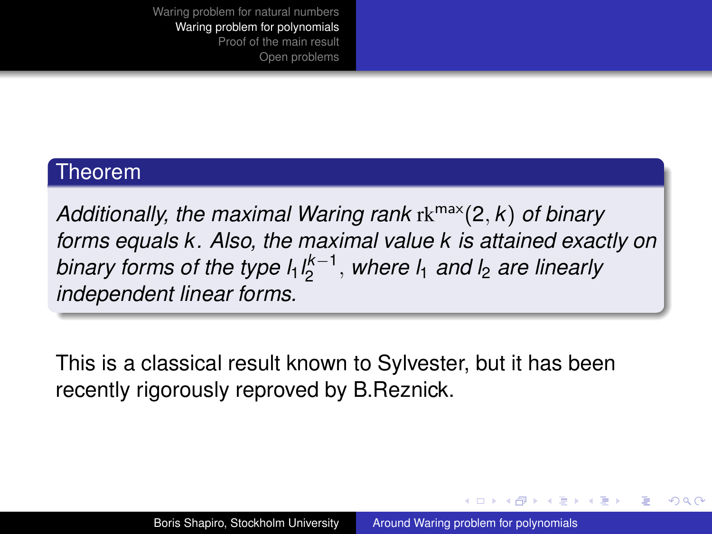#### Theorem

*Additionally, the maximal Waring rank* rkmax(2, *k*) *of binary forms equals k. Also, the maximal value k is attained exactly on binary forms of the type l*1*l k*−1 2 , *where l*<sup>1</sup> *and l*<sup>2</sup> *are linearly independent linear forms.*

This is a classical result known to Sylvester, but it has been recently rigorously reproved by B.Reznick.

イロト イ伊 トイヨ トイヨト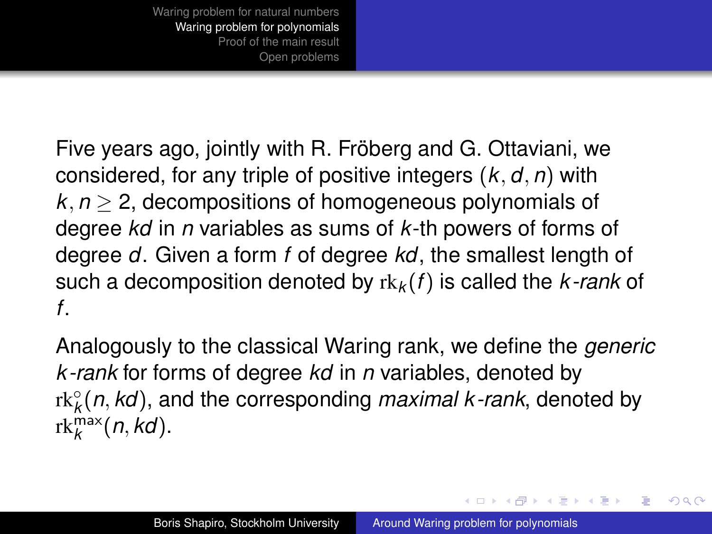Five years ago, jointly with R. Fröberg and G. Ottaviani, we considered, for any triple of positive integers (*k*, *d*, *n*) with  $k, n > 2$ , decompositions of homogeneous polynomials of degree *kd* in *n* variables as sums of *k*-th powers of forms of degree *d*. Given a form *f* of degree *kd*, the smallest length of such a decomposition denoted by rk*<sup>k</sup>* (*f*) is called the *k -rank* of *f*.

Analogously to the classical Waring rank, we define the *generic k -rank* for forms of degree *kd* in *n* variables, denoted by rk◦ *k* (*n*, *kd*), and the corresponding *maximal k -rank*, denoted by  $rk_k^{\max}(n, kd)$ .

イロメ イ押 メイヨメ イヨメ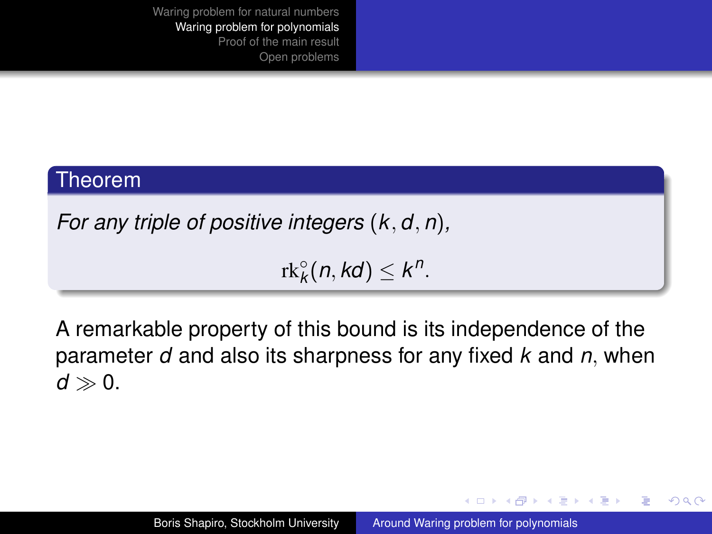#### Theorem

*For any triple of positive integers* (*k*, *d*, *n*)*,*

 $rk_k^{\circ}(n, kd) \leq k^n$ .

A remarkable property of this bound is its independence of the parameter *d* and also its sharpness for any fixed *k* and *n*, when  $d \gg 0$ .

イロメ イ押メ イヨメ イヨメー

B

 $QQQ$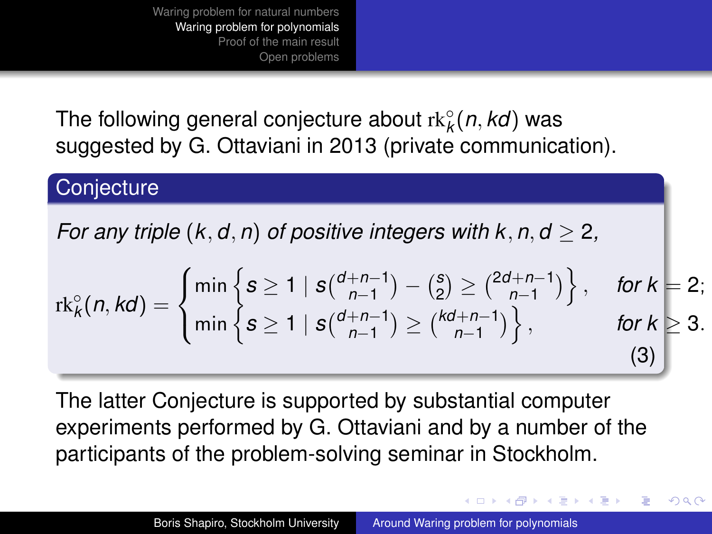The following general conjecture about rk◦ *k* (*n*, *kd*) was suggested by G. Ottaviani in 2013 (private communication).

## **Conjecture**

*For any triple*  $(k, d, n)$  *of positive integers with*  $k, n, d > 2$ ,

$$
\mathrm{rk}_{k}^{\circ}(n,kd) = \begin{cases} \min\left\{s \geq 1 \mid s\binom{d+n-1}{n-1} - \binom{s}{2} \geq \binom{2d+n-1}{n-1} \right\}, & \text{for } k = 2; \\ \min\left\{s \geq 1 \mid s\binom{d+n-1}{n-1} \geq \binom{kd+n-1}{n-1} \right\}, & \text{for } k \geq 3. \end{cases}
$$
(3)

The latter Conjecture is supported by substantial computer experiments performed by G. Ottaviani and by a number of the participants of the problem-solving seminar in Stockholm.

イロメ イ押 メメ ミメイヨメー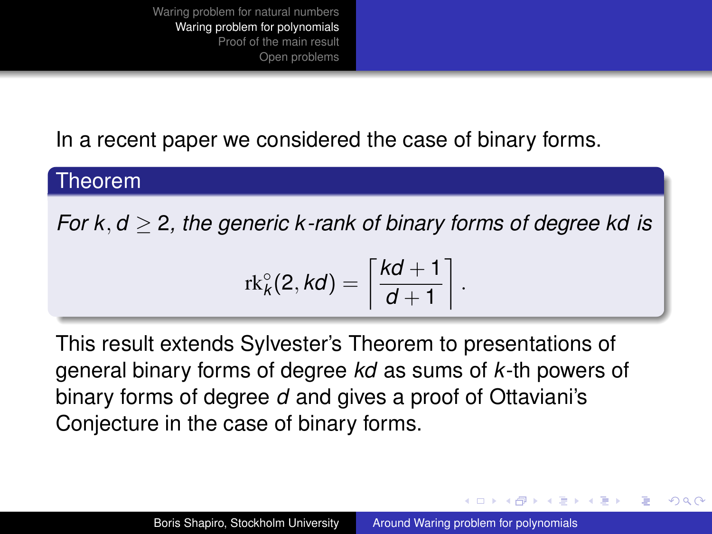In a recent paper we considered the case of binary forms.

#### Theorem

*For k*, *d* ≥ 2*, the generic k -rank of binary forms of degree kd is*

$$
\mathrm{rk}_k^{\circ}(2,kd)=\left\lceil \frac{kd+1}{d+1} \right\rceil.
$$

This result extends Sylvester's Theorem to presentations of general binary forms of degree *kd* as sums of *k*-th powers of binary forms of degree *d* and gives a proof of Ottaviani's Conjecture in the case of binary forms.

イロメ イ押 メイヨメ イヨメ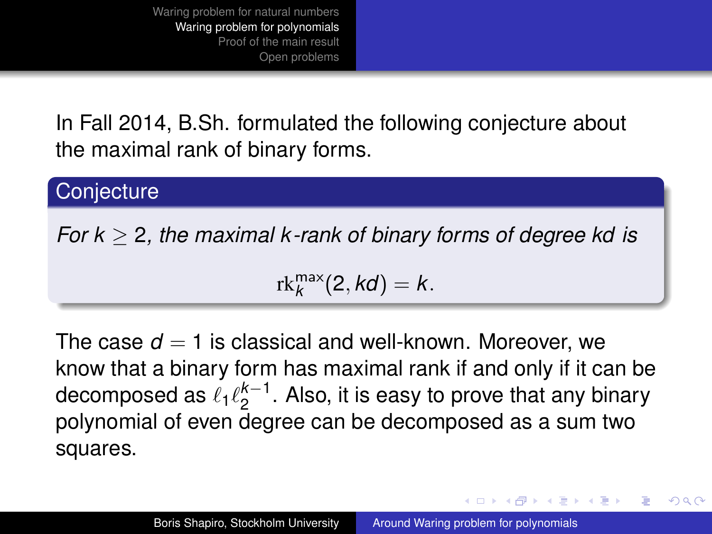In Fall 2014, B.Sh. formulated the following conjecture about the maximal rank of binary forms.

#### **Conjecture**

*For k* ≥ 2*, the maximal k -rank of binary forms of degree kd is*

 $rk_k^{\max}(2, kd) = k.$ 

The case  $d = 1$  is classical and well-known. Moreover, we know that a binary form has maximal rank if and only if it can be decomposed as  $\ell_1 \ell_2^{k-1}$  $2^{k-1}$ . Also, it is easy to prove that any binary polynomial of even degree can be decomposed as a sum two squares.

**K ロ ト K 何 ト K ヨ ト K ヨ ト** 

ă.  $QQQ$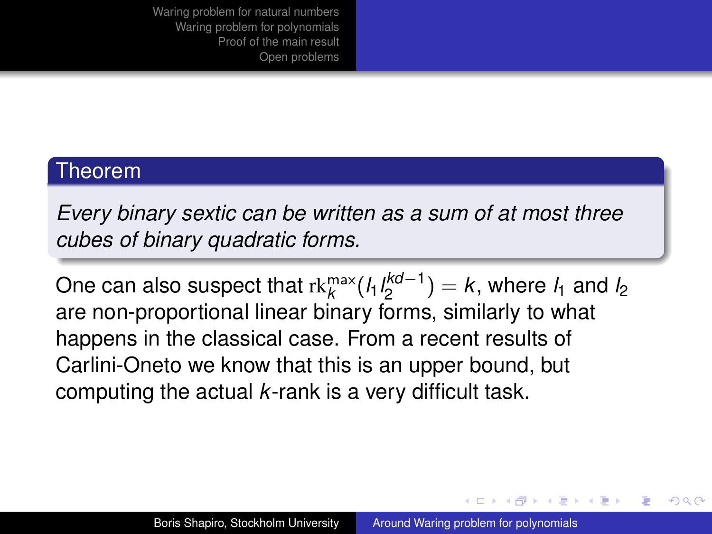#### Theorem

*Every binary sextic can be written as a sum of at most three cubes of binary quadratic forms.*

One can also suspect that rk $^{\sf max}_k$ (*l*<sub>1</sub>*l*<sup>kd−1</sup>  $\binom{1}{2}$  = k, where  $l_1$  and  $l_2$ are non-proportional linear binary forms, similarly to what happens in the classical case. From a recent results of Carlini-Oneto we know that this is an upper bound, but computing the actual *k*-rank is a very difficult task.

イロメ イ押 メイヨメ イヨメ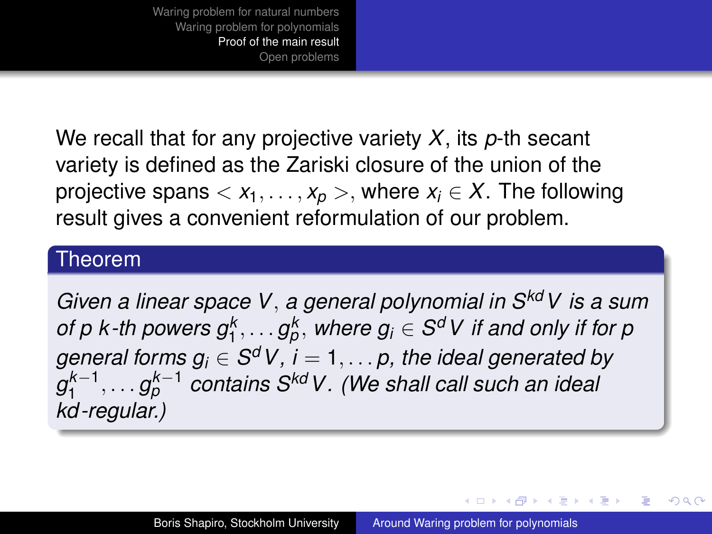<span id="page-18-0"></span>We recall that for any projective variety *X*, its *p*-th secant variety is defined as the Zariski closure of the union of the projective spans  $\langle x_1, \ldots, x_p \rangle$ , where  $x_i \in X$ . The following result gives a convenient reformulation of our problem.

#### Theorem

*Given a linear space V*, *a general polynomial in SkdV is a sum of p k-th powers*  $g_1^k, \ldots g_p^k$ *, where*  $g_i \in S^d$ *V if and only if for p general forms g<sup>i</sup>* ∈ *S <sup>d</sup>V, i* = 1, . . . *p, the ideal generated by g k*−1 1 , . . . *g k*−1 *<sup>p</sup> contains SkdV. (We shall call such an ideal kd -regular.)*

イロメ イ押 メイヨメ イヨメ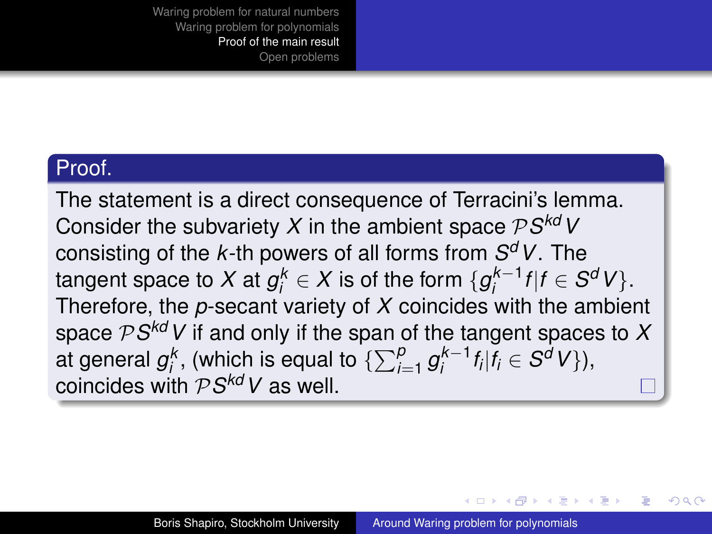#### Proof.

The statement is a direct consequence of Terracini's lemma. Consider the subvariety  $X$  in the ambient space  $\mathcal{P}S^{kd}$  V consisting of the *k*-th powers of all forms from *S <sup>d</sup>V*. The  $t$ angent space to  $X$  at  $g_i^k \in X$  is of the form  $\{g_i^{k-1}\}$  $\int_{i}^{k-1} f | f \in S^{d} V$ . Therefore, the *p*-secant variety of *X* coincides with the ambient space P*S kdV* if and only if the span of the tangent spaces to *X* at general  $g_i^k$ , (which is equal to  $\{\sum_{i=1}^p g_i^{k-1}\}$  $\int_{i}^{k-1} f_i | f_i \in S^d V \},$ coincides with P*S kdV* as well.

イロメ イ押 メイヨメ イヨメ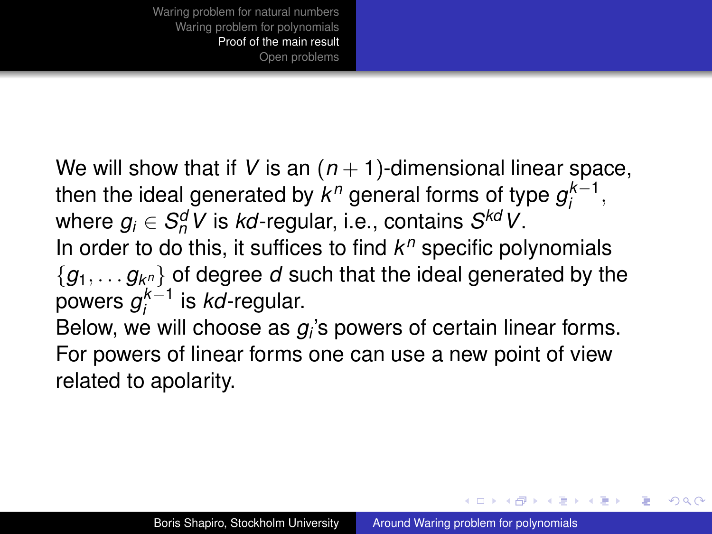We will show that if V is an  $(n + 1)$ -dimensional linear space, then the ideal generated by  $k^n$  general forms of type  $g_i^{k-1}$  $i^{k-1}$ , where  $g_i \in S_n^dV$  is *kd*-regular, i.e., contains  $S^{kd}V$ . In order to do this, it suffices to find *k <sup>n</sup>* specific polynomials  $\{g_1, \ldots g_{k^n}\}$  of degree  $d$  such that the ideal generated by the powers *g k*−1 *i* is *kd*-regular.

Below, we will choose as  $g_i$ 's powers of certain linear forms. For powers of linear forms one can use a new point of view related to apolarity.

イロメ イ押 メイヨメ イヨメ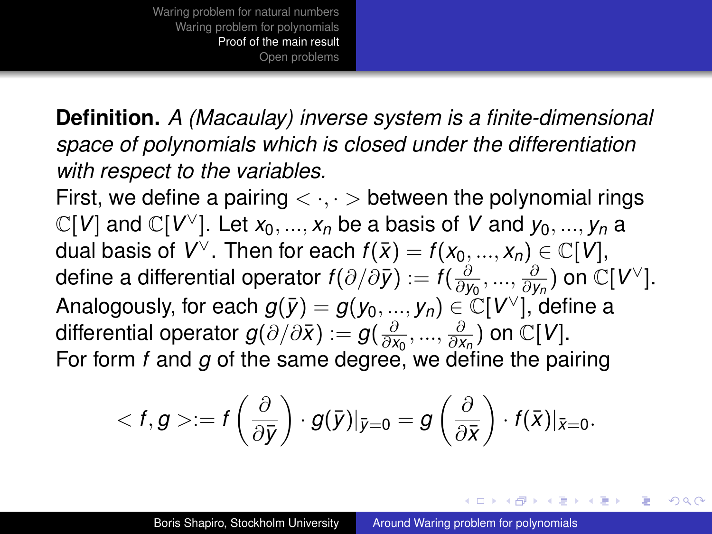**Definition.** *A (Macaulay) inverse system is a finite-dimensional space of polynomials which is closed under the differentiation with respect to the variables.*

First, we define a pairing  $\langle \cdot, \cdot \rangle$  between the polynomial rings  $\mathbb{C}[V]$  and  $\mathbb{C}[V^\vee]$ . Let  $x_0, ..., x_n$  be a basis of V and  $y_0, ..., y_n$  a dual basis of  $V^{\vee}$ . Then for each  $f(\bar{x}) = f(x_0,...,x_n) \in \mathbb{C}[V]$ , define a differential operator  $f(\partial/\partial \bar{y}) := f(\frac{\partial}{\partial y})$ *∂y*<sub>0</sub>, ..., ∂y  $\frac{\partial}{\partial y_n}$ ) on  $\mathbb{C}[V^\vee].$ Analogously, for each  $g(\bar{y}) = g(y_0,...,y_n) \in \operatorname{\check{C}}[V^\vee]$ , define a differential operator  $g(\partial/\partial \bar{x}) := g(\frac{\partial}{\partial x})$  $\frac{\partial}{\partial x_0},...,\frac{\partial}{\partial x_n}$  $\frac{\partial}{\partial x_n}$ ) on  $\mathbb{C}[V]$ . For form *f* and *g* of the same degree, we define the pairing

$$
\langle f,g\rangle:=f\left(\frac{\partial}{\partial \bar{y}}\right)\cdot g(\bar{y})|_{\bar{y}=0}=g\left(\frac{\partial}{\partial \bar{x}}\right)\cdot f(\bar{x})|_{\bar{x}=0}.
$$

イロメ イ押 メイヨメ イヨメ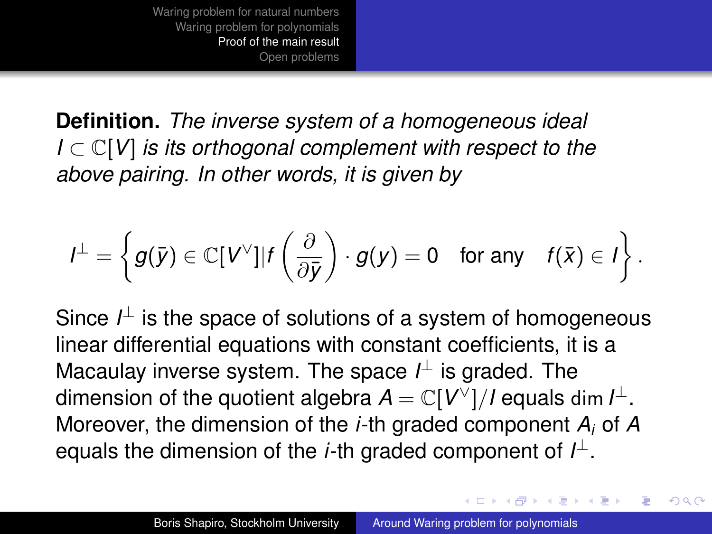**Definition.** *The inverse system of a homogeneous ideal I* ⊂ C[*V*] *is its orthogonal complement with respect to the above pairing. In other words, it is given by*

$$
I^{\perp} = \left\{ g(\bar{y}) \in \mathbb{C}[V^{\vee}] | f\left(\frac{\partial}{\partial \bar{y}}\right) \cdot g(y) = 0 \text{ for any } f(\bar{x}) \in I \right\}.
$$

Since *I*<sup>⊥</sup> is the space of solutions of a system of homogeneous linear differential equations with constant coefficients, it is a Macaulay inverse system. The space *I* <sup>⊥</sup> is graded. The dimension of the quotient algebra  $A = \mathbb{C}[V^\vee]/I$  equals dim  $I^\perp$ . Moreover, the dimension of the *i*-th graded component *A<sup>i</sup>* of *A* equals the dimension of the *i*-th graded component of *I* ⊥.

イロメ イ押 メイヨメ イヨメ

 $\Omega$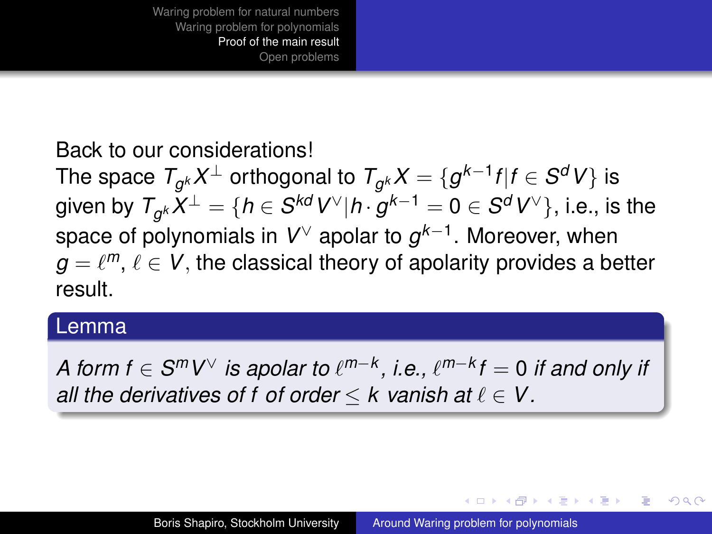## Back to our considerations!

The space  $\mathcal{T}_{g^k}X^\perp$  orthogonal to  $\mathcal{T}_{g^k}X=\{g^{k-1}f|f\in\mathcal{S}^dV\}$  is given by  $\mathcal{T}_{g^k}X^\perp = \{h\in\mathcal{S}^{kd}V^\vee|h\cdot g^{k-1} = 0\in\mathcal{S}^dV^\vee\},$  i.e., is the space of polynomials in *V* <sup>∨</sup> apolar to *g k*−1 . Moreover, when  $g = \ell^m, \, \ell \in V,$  the classical theory of apolarity provides a better result.

#### Lemma

*A form f* ∈  $\mathcal{S}^{m}V^{\vee}$  *is apolar to*  $\ell^{m-k}$ *, i.e.,*  $\ell^{m-k}f = 0$  *if and only if all the derivatives of f of order*  $\leq$  *k vanish at*  $\ell \in V$ .

イロト イ押 トイヨ トイヨト

 $QQQ$ э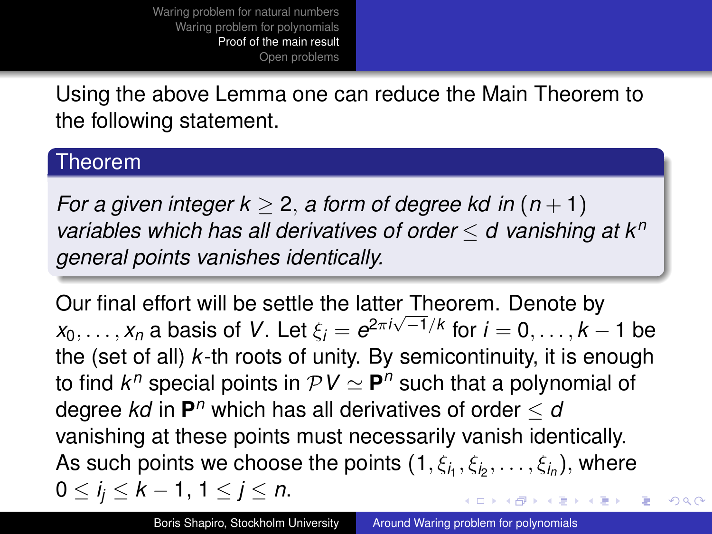Using the above Lemma one can reduce the Main Theorem to the following statement.

#### Theorem

*For a given integer k > 2, a form of degree kd in*  $(n + 1)$ *variables which has all derivatives of order* ≤ *d vanishing at k<sup>n</sup> general points vanishes identically.*

Our final effort will be settle the latter Theorem. Denote by  $x_0, \ldots, x_n$  a basis of *V*. Let  $\xi_i = e^{2\pi i \sqrt{-1}/k}$  for  $i = 0, \ldots, k - 1$  be the (set of all) *k*-th roots of unity. By semicontinuity, it is enough to find  $k^n$  special points in  $\mathcal{PV} \simeq \mathsf{P}^n$  such that a polynomial of degree  $k$ d in  $\mathbf{P}^n$  which has all derivatives of order  $\leq$   $a$ vanishing at these points must necessarily vanish identically. As such points we choose the points  $(1, \xi_{i_1}, \xi_{i_2}, \ldots, \xi_{i_n}),$  where 0 ≤ *i <sup>j</sup>* ≤ *k* − 1, 1 ≤ *j* ≤ *n*. イロメ 不優 トイヨメ イヨメー

 $290$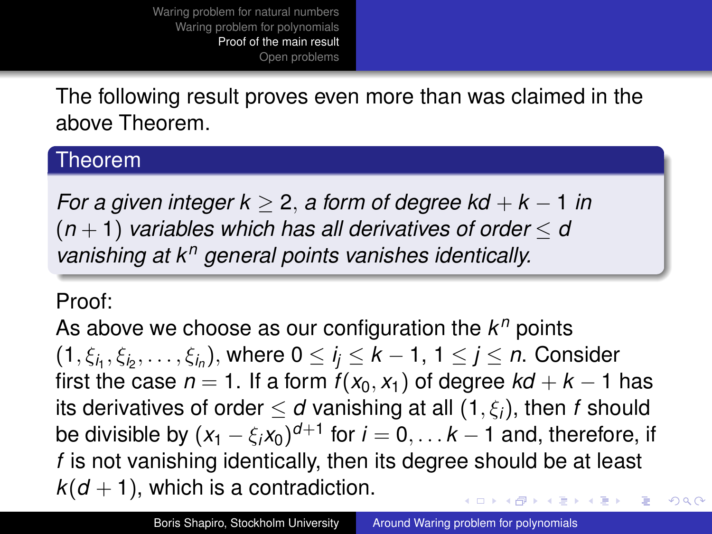## The following result proves even more than was claimed in the above Theorem.

#### Theorem

*For a given integer k* ≥ 2, *a form of degree kd* + *k* − 1 *in*  $(n + 1)$  *variables which has all derivatives of order*  $\leq d$ *vanishing at k<sup>n</sup> general points vanishes identically.*

### Proof:

As above we choose as our configuration the  $k^n$  points  $(1,\xi_{i_1},\xi_{i_2},\ldots,\xi_{i_n}),$  where  $0\leq i_j\leq k-1,$   $1\leq j\leq n.$  Consider first the case  $n = 1$ . If a form  $f(x_0, x_1)$  of degree  $kd + k - 1$  has its derivatives of order  $\leq d$  vanishing at all  $(1, \xi_i)$ , then *f* should be divisible by  $(x_1 - \xi_i x_0)^{d+1}$  for  $i = 0, \ldots k-1$  and, therefore, if *f* is not vanishing identically, then its degree should be at least  $k(d+1)$ , which is a contradiction. **K ロ ト K 伺 ト K ヨ ト K ヨ ト**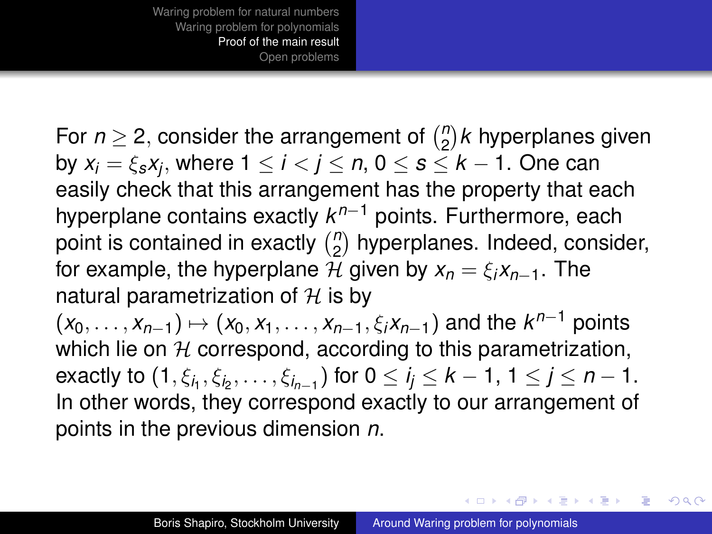For  $n \geq 2$ , consider the arrangement of  $\binom{n}{2}$  $\binom{n}{2}$ *k* hyperplanes given by *x<sup>i</sup>* = ξ*sx<sup>j</sup>* , where 1 ≤ *i* < *j* ≤ *n*, 0 ≤ *s* ≤ *k* − 1. One can easily check that this arrangement has the property that each hyperplane contains exactly *k <sup>n</sup>*−<sup>1</sup> points. Furthermore, each point is contained in exactly  $\binom{n}{2}$  $n_2$ ) hyperplanes. Indeed, consider, for example, the hyperplane H given by  $x_n = \xi_i x_{n-1}$ . The natural parametrization of  $H$  is by

 $(x_0, \ldots, x_{n-1}) \mapsto (x_0, x_1, \ldots, x_{n-1}, \xi_i x_{n-1})$  and the  $k^{n-1}$  points which lie on  $H$  correspond, according to this parametrization, exactly to  $(1,\xi_{i_1},\xi_{i_2},\ldots,\xi_{i_{n-1}})$  for  $0\leq i_j\leq k-1,$   $1\leq j\leq n-1.$ In other words, they correspond exactly to our arrangement of points in the previous dimension *n*.

4 ロ ) (何 ) (日 ) (日 )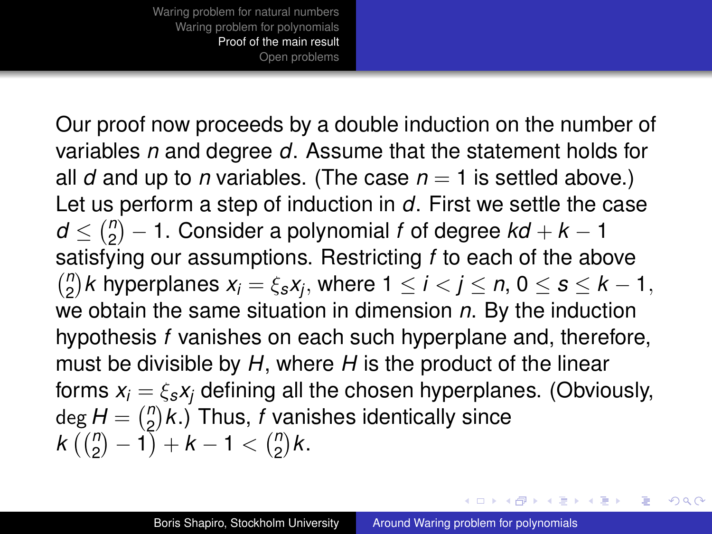Our proof now proceeds by a double induction on the number of variables *n* and degree *d*. Assume that the statement holds for all *d* and up to *n* variables. (The case  $n = 1$  is settled above.) Let us perform a step of induction in *d*. First we settle the case  $d \leq {n \choose 2}$ 2 − 1. Consider a polynomial *f* of degree *kd* + *k* − 1 satisfying our assumptions. Restricting *f* to each of the above *n*  $\binom{n}{2}$ *k* hyperplanes  $x_i = \xi_s x_j$ , where  $1 \leq i < j \leq n$ ,  $0 \leq s \leq k-1$ , we obtain the same situation in dimension *n*. By the induction hypothesis *f* vanishes on each such hyperplane and, therefore, must be divisible by *H*, where *H* is the product of the linear forms  $x_i = \xi_s x_i$  defining all the chosen hyperplanes. (Obviously,  $deg H = \binom{n}{2}$  $L_2^n(k)$  Thus, *f* vanishes identically since  $k\left(\binom{n}{2}-1\right)+k-1<\binom{n}{2}$  $n_2$ ) $k$ .

イロメ イ押 メメ ミメイヨメー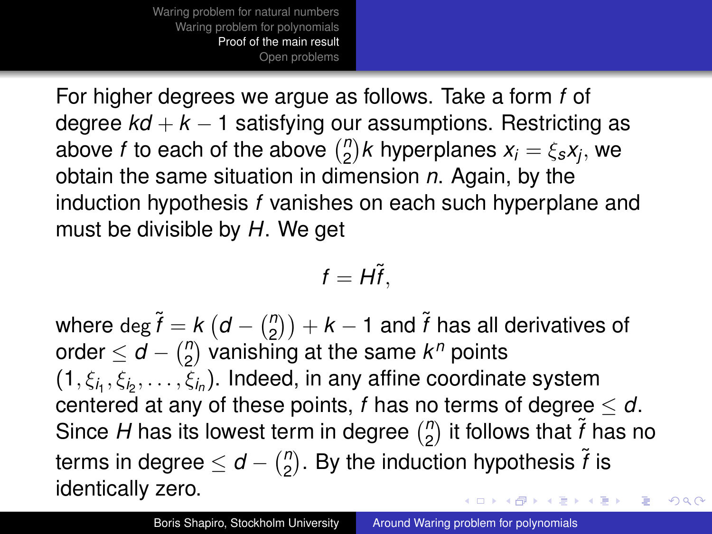For higher degrees we argue as follows. Take a form *f* of degree *kd* + *k* − 1 satisfying our assumptions. Restricting as above *f* to each of the above  $\binom{n}{2}$  $\binom{n}{2}$ *k* hyperplanes  $x_i = \xi_s x_j$ , we obtain the same situation in dimension *n*. Again, by the induction hypothesis *f* vanishes on each such hyperplane and must be divisible by *H*. We get

$$
f=H\tilde{f},
$$

where  $\deg \widetilde{f} = k \left(d - \binom{n}{2}\right)$  $\binom{n}{2}$ ) +  $k-1$  and  $\tilde{f}$  has all derivatives of order  $\leq d - \binom{n}{2}$  $n_2$ <sup>n</sup>) vanishing at the same  $k^n$  points  $(1, \xi_{i_1}, \xi_{i_2}, \ldots, \xi_{i_n})$ . Indeed, in any affine coordinate system centered at any of these points, *f* has no terms of degree ≤ *d*.  $\binom{n}{2}$  it follows that  $\tilde{f}$  has no Since *H* has its lowest term in degree  $\binom{n}{2}$ terms in degree  $\leq d - \binom{n}{2}$  $n \choose 2$ . By the induction hypothesis  $\widetilde{f}$  is identically zero. **K ロ ト K 何 ト K ヨ ト K ヨ ト**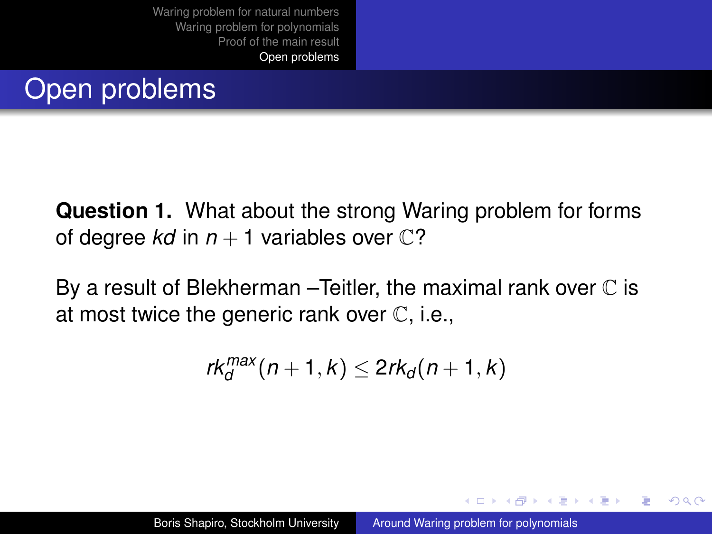# <span id="page-29-0"></span>Open problems

**Question 1.** What about the strong Waring problem for forms of degree *kd* in  $n + 1$  variables over  $\mathbb{C}$ ?

By a result of Blekherman – Teitler, the maximal rank over  $\mathbb C$  is at most twice the generic rank over C, i.e.,

$$
rk_d^{max}(n+1,k) \leq 2rk_d(n+1,k)
$$

イロメ イ押 メイヨメ イヨメ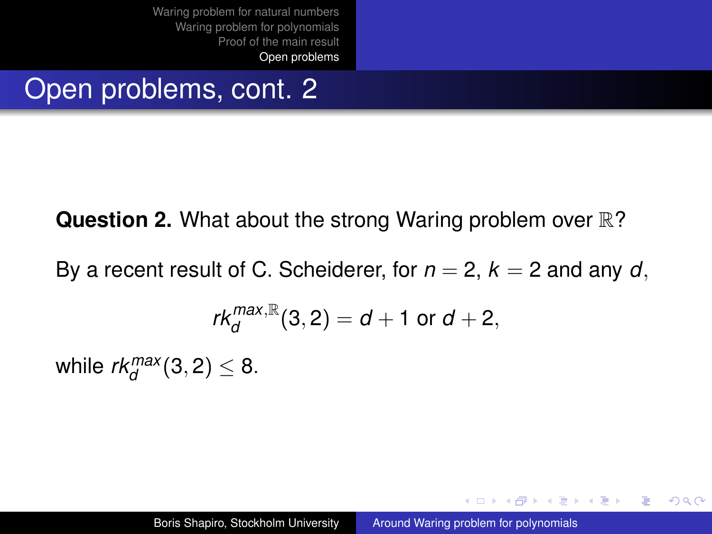# Open problems, cont. 2

## **Question 2.** What about the strong Waring problem over  $\mathbb{R}$ ?

By a recent result of C. Scheiderer, for  $n = 2$ ,  $k = 2$  and any d.

$$
\textit{rk}^{\textit{max},\mathbb{R}}_d(3,2)=d+1 \text{ or } d+2,
$$

while  $rk_d^{max}(3, 2) \leq 8$ .

イロト イ押 トイヨ トイヨ トー

÷.  $QQQ$